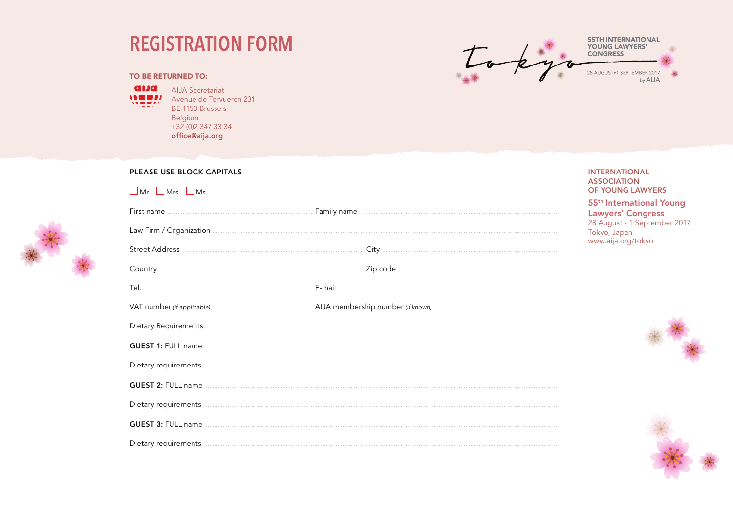## **REGISTRATION FORM**



## **TO BE RETURNED TO:**

**GUEST 1: FULL name** ....

**alua** ALIA Secretariat

**WEEFF** Avenue de Tervueren 231 BF-1150 Brussels **Belgium**  $+32(0)23473334$ office@aiia.org

## PLEASE USE BLOCK CAPITALS **INTERNATIONAL ASSOCIATION**  $\Box$  Mr  $\Box$  Mrs  $\Box$  Ms **OF YOUNG LAWYERS** 55<sup>th</sup> International Young Family name **continued and the contract of the contract of the contract of the contract of the contract of the contract of the contract of the contract of the contract of the contract of the contract of the contract of the Lawyers' Congress** Tokyo, Japan www.aija.org/tokyo E-mail Tel.

**GUEST 2:** FULL name

Dietary requirements **contract the contract of the contract of the contract of the contract of the contract of the contract of the contract of the contract of the contract of the contract of the contract of the contract of** 

Dietary requirements www.communication.com/www.communication.com/www.communication.com/www.communication.com

GUEST 3: FULL name **Contract and Contract and Contract and Contract and Contract and Contract and Contract and Contract and Contract and Contract and Contract and Contract and Contract and Contract and Contract and Contrac** 

28 August - 1 September 2017